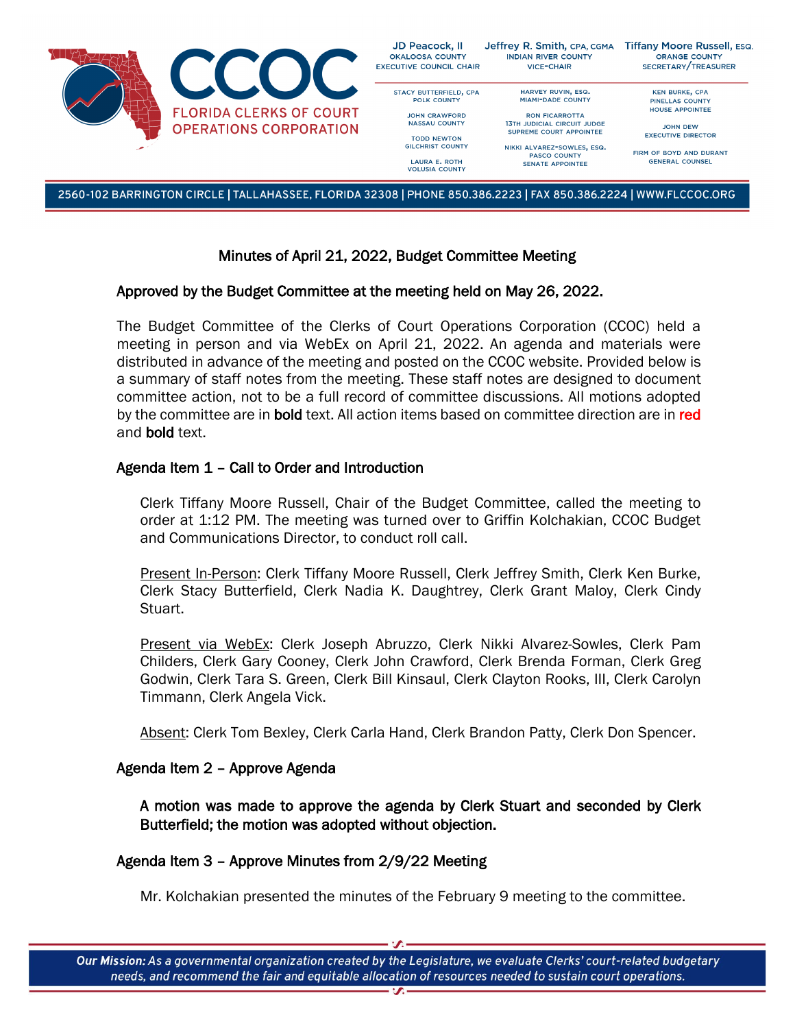

2560-102 BARRINGTON CIRCLE | TALLAHASSEE, FLORIDA 32308 | PHONE 850.386.2223 | FAX 850.386.2224 | WWW.FLCCOC.ORG

# Minutes of April 21, 2022, Budget Committee Meeting

## Approved by the Budget Committee at the meeting held on May 26, 2022.

The Budget Committee of the Clerks of Court Operations Corporation (CCOC) held a meeting in person and via WebEx on April 21, 2022. An agenda and materials were distributed in advance of the meeting and posted on the CCOC website. Provided below is a summary of staff notes from the meeting. These staff notes are designed to document committee action, not to be a full record of committee discussions. All motions adopted by the committee are in **bold** text. All action items based on committee direction are in red and bold text.

# Agenda Item 1 – Call to Order and Introduction

Clerk Tiffany Moore Russell, Chair of the Budget Committee, called the meeting to order at 1:12 PM. The meeting was turned over to Griffin Kolchakian, CCOC Budget and Communications Director, to conduct roll call.

Present In-Person: Clerk Tiffany Moore Russell, Clerk Jeffrey Smith, Clerk Ken Burke, Clerk Stacy Butterfield, Clerk Nadia K. Daughtrey, Clerk Grant Maloy, Clerk Cindy Stuart.

Present via WebEx: Clerk Joseph Abruzzo, Clerk Nikki Alvarez-Sowles, Clerk Pam Childers, Clerk Gary Cooney, Clerk John Crawford, Clerk Brenda Forman, Clerk Greg Godwin, Clerk Tara S. Green, Clerk Bill Kinsaul, Clerk Clayton Rooks, III, Clerk Carolyn Timmann, Clerk Angela Vick.

Absent: Clerk Tom Bexley, Clerk Carla Hand, Clerk Brandon Patty, Clerk Don Spencer.

### Agenda Item 2 – Approve Agenda

A motion was made to approve the agenda by Clerk Stuart and seconded by Clerk Butterfield; the motion was adopted without objection.

### Agenda Item 3 – Approve Minutes from 2/9/22 Meeting

Mr. Kolchakian presented the minutes of the February 9 meeting to the committee.

Our Mission: As a governmental organization created by the Legislature, we evaluate Clerks' court-related budgetary needs, and recommend the fair and equitable allocation of resources needed to sustain court operations.  $\overline{\mathbf{z}}$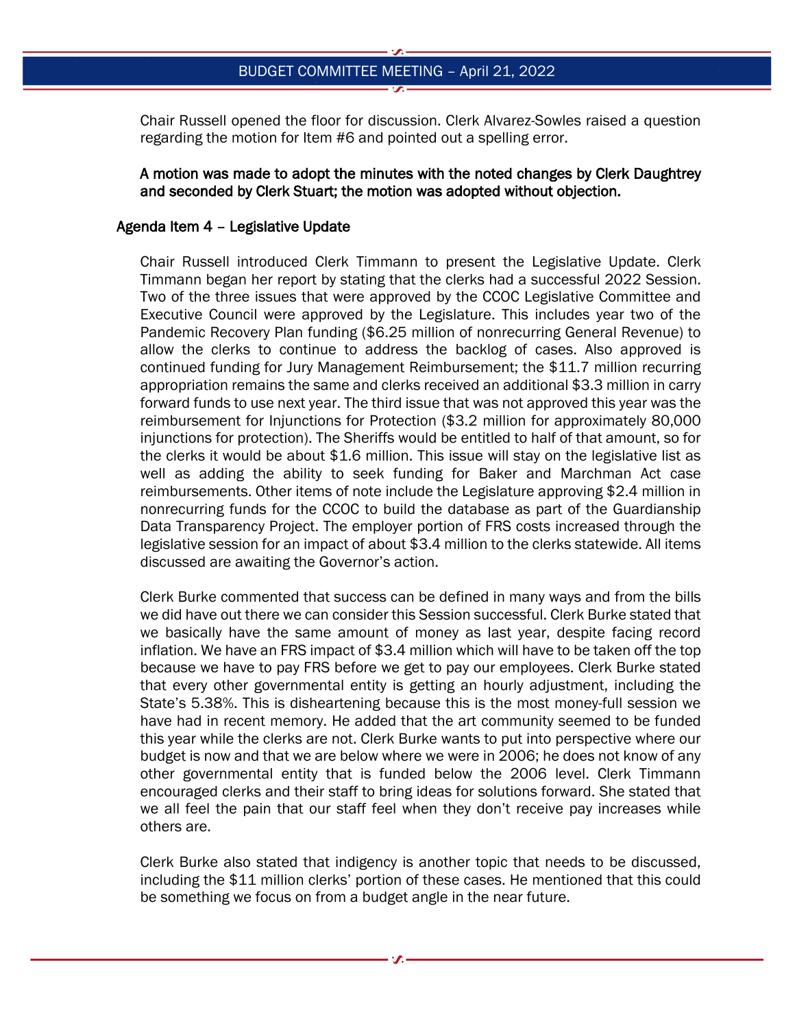Chair Russell opened the floor for discussion. Clerk Alvarez-Sowles raised a question regarding the motion for Item #6 and pointed out a spelling error.

## A motion was made to adopt the minutes with the noted changes by Clerk Daughtrey and seconded by Clerk Stuart; the motion was adopted without objection.

### Agenda Item 4 – Legislative Update

Chair Russell introduced Clerk Timmann to present the Legislative Update. Clerk Timmann began her report by stating that the clerks had a successful 2022 Session. Two of the three issues that were approved by the CCOC Legislative Committee and Executive Council were approved by the Legislature. This includes year two of the Pandemic Recovery Plan funding (\$6.25 million of nonrecurring General Revenue) to allow the clerks to continue to address the backlog of cases. Also approved is continued funding for Jury Management Reimbursement; the \$11.7 million recurring appropriation remains the same and clerks received an additional \$3.3 million in carry forward funds to use next year. The third issue that was not approved this year was the reimbursement for Injunctions for Protection (\$3.2 million for approximately 80,000 injunctions for protection). The Sheriffs would be entitled to half of that amount, so for the clerks it would be about \$1.6 million. This issue will stay on the legislative list as well as adding the ability to seek funding for Baker and Marchman Act case reimbursements. Other items of note include the Legislature approving \$2.4 million in nonrecurring funds for the CCOC to build the database as part of the Guardianship Data Transparency Project. The employer portion of FRS costs increased through the legislative session for an impact of about \$3.4 million to the clerks statewide. All items discussed are awaiting the Governor's action.

Clerk Burke commented that success can be defined in many ways and from the bills we did have out there we can consider this Session successful. Clerk Burke stated that we basically have the same amount of money as last year, despite facing record inflation. We have an FRS impact of \$3.4 million which will have to be taken off the top because we have to pay FRS before we get to pay our employees. Clerk Burke stated that every other governmental entity is getting an hourly adjustment, including the State's 5.38%. This is disheartening because this is the most money-full session we have had in recent memory. He added that the art community seemed to be funded this year while the clerks are not. Clerk Burke wants to put into perspective where our budget is now and that we are below where we were in 2006; he does not know of any other governmental entity that is funded below the 2006 level. Clerk Timmann encouraged clerks and their staff to bring ideas for solutions forward. She stated that we all feel the pain that our staff feel when they don't receive pay increases while others are.

Clerk Burke also stated that indigency is another topic that needs to be discussed, including the \$11 million clerks' portion of these cases. He mentioned that this could be something we focus on from a budget angle in the near future.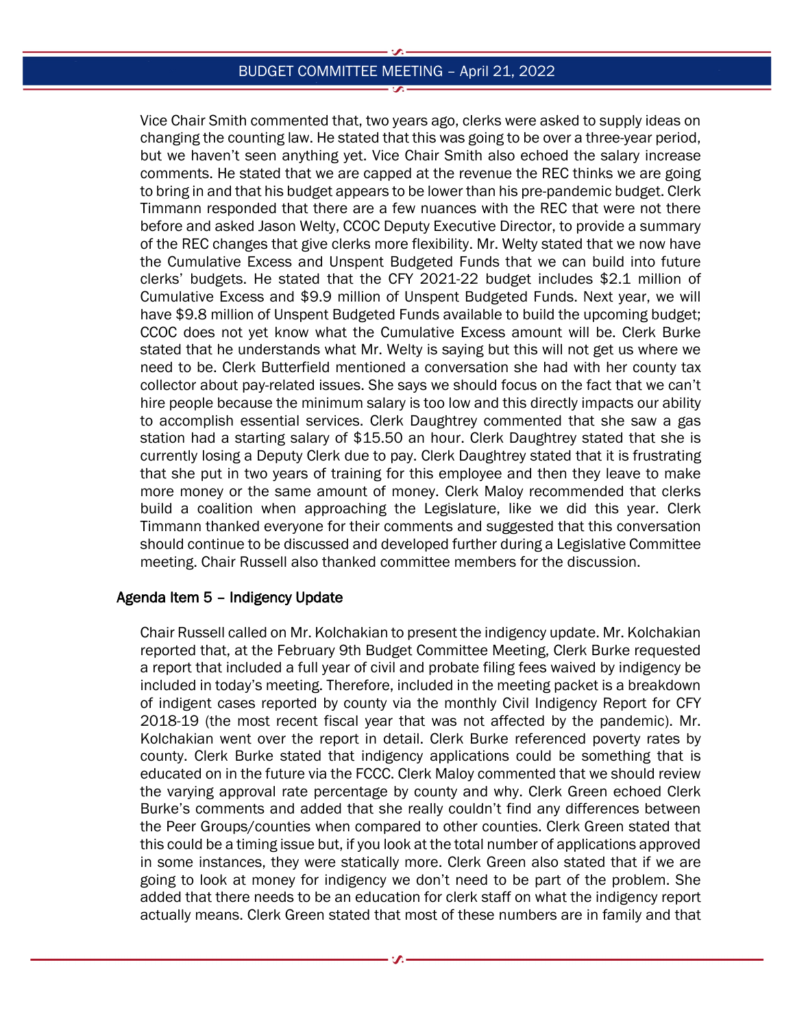Vice Chair Smith commented that, two years ago, clerks were asked to supply ideas on changing the counting law. He stated that this was going to be over a three-year period, but we haven't seen anything yet. Vice Chair Smith also echoed the salary increase comments. He stated that we are capped at the revenue the REC thinks we are going to bring in and that his budget appears to be lower than his pre-pandemic budget. Clerk Timmann responded that there are a few nuances with the REC that were not there before and asked Jason Welty, CCOC Deputy Executive Director, to provide a summary of the REC changes that give clerks more flexibility. Mr. Welty stated that we now have the Cumulative Excess and Unspent Budgeted Funds that we can build into future clerks' budgets. He stated that the CFY 2021-22 budget includes \$2.1 million of Cumulative Excess and \$9.9 million of Unspent Budgeted Funds. Next year, we will have \$9.8 million of Unspent Budgeted Funds available to build the upcoming budget; CCOC does not yet know what the Cumulative Excess amount will be. Clerk Burke stated that he understands what Mr. Welty is saying but this will not get us where we need to be. Clerk Butterfield mentioned a conversation she had with her county tax collector about pay-related issues. She says we should focus on the fact that we can't hire people because the minimum salary is too low and this directly impacts our ability to accomplish essential services. Clerk Daughtrey commented that she saw a gas station had a starting salary of \$15.50 an hour. Clerk Daughtrey stated that she is currently losing a Deputy Clerk due to pay. Clerk Daughtrey stated that it is frustrating that she put in two years of training for this employee and then they leave to make more money or the same amount of money. Clerk Maloy recommended that clerks build a coalition when approaching the Legislature, like we did this year. Clerk Timmann thanked everyone for their comments and suggested that this conversation should continue to be discussed and developed further during a Legislative Committee meeting. Chair Russell also thanked committee members for the discussion.

### Agenda Item 5 – Indigency Update

Chair Russell called on Mr. Kolchakian to present the indigency update. Mr. Kolchakian reported that, at the February 9th Budget Committee Meeting, Clerk Burke requested a report that included a full year of civil and probate filing fees waived by indigency be included in today's meeting. Therefore, included in the meeting packet is a breakdown of indigent cases reported by county via the monthly Civil Indigency Report for CFY 2018-19 (the most recent fiscal year that was not affected by the pandemic). Mr. Kolchakian went over the report in detail. Clerk Burke referenced poverty rates by county. Clerk Burke stated that indigency applications could be something that is educated on in the future via the FCCC. Clerk Maloy commented that we should review the varying approval rate percentage by county and why. Clerk Green echoed Clerk Burke's comments and added that she really couldn't find any differences between the Peer Groups/counties when compared to other counties. Clerk Green stated that this could be a timing issue but, if you look at the total number of applications approved in some instances, they were statically more. Clerk Green also stated that if we are going to look at money for indigency we don't need to be part of the problem. She added that there needs to be an education for clerk staff on what the indigency report actually means. Clerk Green stated that most of these numbers are in family and that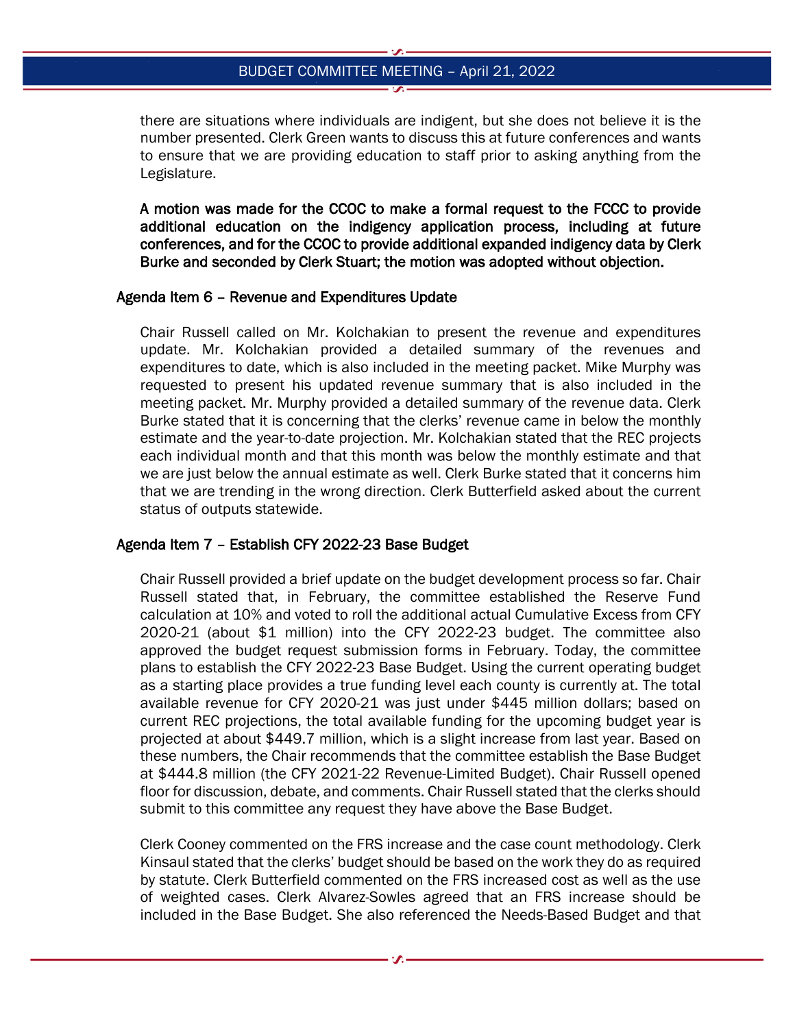there are situations where individuals are indigent, but she does not believe it is the number presented. Clerk Green wants to discuss this at future conferences and wants to ensure that we are providing education to staff prior to asking anything from the Legislature.

A motion was made for the CCOC to make a formal request to the FCCC to provide additional education on the indigency application process, including at future conferences, and for the CCOC to provide additional expanded indigency data by Clerk Burke and seconded by Clerk Stuart; the motion was adopted without objection.

#### Agenda Item 6 – Revenue and Expenditures Update

Chair Russell called on Mr. Kolchakian to present the revenue and expenditures update. Mr. Kolchakian provided a detailed summary of the revenues and expenditures to date, which is also included in the meeting packet. Mike Murphy was requested to present his updated revenue summary that is also included in the meeting packet. Mr. Murphy provided a detailed summary of the revenue data. Clerk Burke stated that it is concerning that the clerks' revenue came in below the monthly estimate and the year-to-date projection. Mr. Kolchakian stated that the REC projects each individual month and that this month was below the monthly estimate and that we are just below the annual estimate as well. Clerk Burke stated that it concerns him that we are trending in the wrong direction. Clerk Butterfield asked about the current status of outputs statewide.

### Agenda Item 7 – Establish CFY 2022-23 Base Budget

Chair Russell provided a brief update on the budget development process so far. Chair Russell stated that, in February, the committee established the Reserve Fund calculation at 10% and voted to roll the additional actual Cumulative Excess from CFY 2020-21 (about \$1 million) into the CFY 2022-23 budget. The committee also approved the budget request submission forms in February. Today, the committee plans to establish the CFY 2022-23 Base Budget. Using the current operating budget as a starting place provides a true funding level each county is currently at. The total available revenue for CFY 2020-21 was just under \$445 million dollars; based on current REC projections, the total available funding for the upcoming budget year is projected at about \$449.7 million, which is a slight increase from last year. Based on these numbers, the Chair recommends that the committee establish the Base Budget at \$444.8 million (the CFY 2021-22 Revenue-Limited Budget). Chair Russell opened floor for discussion, debate, and comments. Chair Russell stated that the clerks should submit to this committee any request they have above the Base Budget.

Clerk Cooney commented on the FRS increase and the case count methodology. Clerk Kinsaul stated that the clerks' budget should be based on the work they do as required by statute. Clerk Butterfield commented on the FRS increased cost as well as the use of weighted cases. Clerk Alvarez-Sowles agreed that an FRS increase should be included in the Base Budget. She also referenced the Needs-Based Budget and that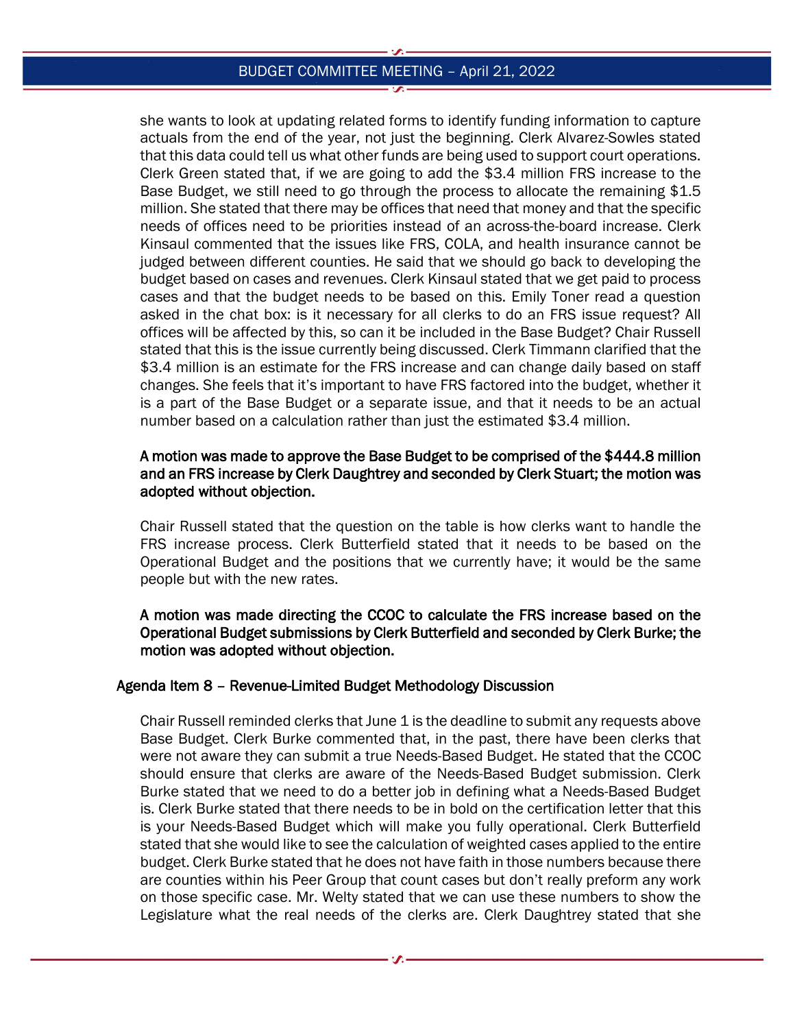she wants to look at updating related forms to identify funding information to capture actuals from the end of the year, not just the beginning. Clerk Alvarez-Sowles stated that this data could tell us what other funds are being used to support court operations. Clerk Green stated that, if we are going to add the \$3.4 million FRS increase to the Base Budget, we still need to go through the process to allocate the remaining \$1.5 million. She stated that there may be offices that need that money and that the specific needs of offices need to be priorities instead of an across-the-board increase. Clerk Kinsaul commented that the issues like FRS, COLA, and health insurance cannot be judged between different counties. He said that we should go back to developing the budget based on cases and revenues. Clerk Kinsaul stated that we get paid to process cases and that the budget needs to be based on this. Emily Toner read a question asked in the chat box: is it necessary for all clerks to do an FRS issue request? All offices will be affected by this, so can it be included in the Base Budget? Chair Russell stated that this is the issue currently being discussed. Clerk Timmann clarified that the \$3.4 million is an estimate for the FRS increase and can change daily based on staff changes. She feels that it's important to have FRS factored into the budget, whether it is a part of the Base Budget or a separate issue, and that it needs to be an actual number based on a calculation rather than just the estimated \$3.4 million.

# A motion was made to approve the Base Budget to be comprised of the \$444.8 million and an FRS increase by Clerk Daughtrey and seconded by Clerk Stuart; the motion was adopted without objection.

Chair Russell stated that the question on the table is how clerks want to handle the FRS increase process. Clerk Butterfield stated that it needs to be based on the Operational Budget and the positions that we currently have; it would be the same people but with the new rates.

A motion was made directing the CCOC to calculate the FRS increase based on the Operational Budget submissions by Clerk Butterfield and seconded by Clerk Burke; the motion was adopted without objection.

### Agenda Item 8 – Revenue-Limited Budget Methodology Discussion

Chair Russell reminded clerks that June 1 is the deadline to submit any requests above Base Budget. Clerk Burke commented that, in the past, there have been clerks that were not aware they can submit a true Needs-Based Budget. He stated that the CCOC should ensure that clerks are aware of the Needs-Based Budget submission. Clerk Burke stated that we need to do a better job in defining what a Needs-Based Budget is. Clerk Burke stated that there needs to be in bold on the certification letter that this is your Needs-Based Budget which will make you fully operational. Clerk Butterfield stated that she would like to see the calculation of weighted cases applied to the entire budget. Clerk Burke stated that he does not have faith in those numbers because there are counties within his Peer Group that count cases but don't really preform any work on those specific case. Mr. Welty stated that we can use these numbers to show the Legislature what the real needs of the clerks are. Clerk Daughtrey stated that she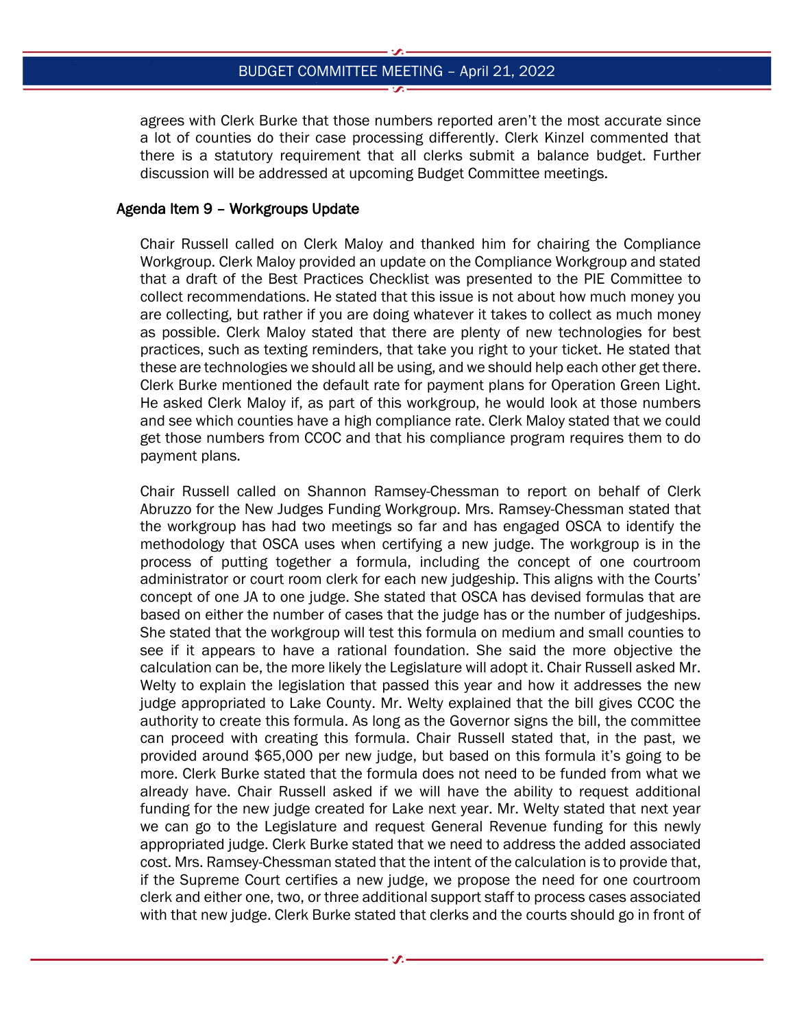agrees with Clerk Burke that those numbers reported aren't the most accurate since a lot of counties do their case processing differently. Clerk Kinzel commented that there is a statutory requirement that all clerks submit a balance budget. Further discussion will be addressed at upcoming Budget Committee meetings.

## Agenda Item 9 – Workgroups Update

Chair Russell called on Clerk Maloy and thanked him for chairing the Compliance Workgroup. Clerk Maloy provided an update on the Compliance Workgroup and stated that a draft of the Best Practices Checklist was presented to the PIE Committee to collect recommendations. He stated that this issue is not about how much money you are collecting, but rather if you are doing whatever it takes to collect as much money as possible. Clerk Maloy stated that there are plenty of new technologies for best practices, such as texting reminders, that take you right to your ticket. He stated that these are technologies we should all be using, and we should help each other get there. Clerk Burke mentioned the default rate for payment plans for Operation Green Light. He asked Clerk Maloy if, as part of this workgroup, he would look at those numbers and see which counties have a high compliance rate. Clerk Maloy stated that we could get those numbers from CCOC and that his compliance program requires them to do payment plans.

Chair Russell called on Shannon Ramsey-Chessman to report on behalf of Clerk Abruzzo for the New Judges Funding Workgroup. Mrs. Ramsey-Chessman stated that the workgroup has had two meetings so far and has engaged OSCA to identify the methodology that OSCA uses when certifying a new judge. The workgroup is in the process of putting together a formula, including the concept of one courtroom administrator or court room clerk for each new judgeship. This aligns with the Courts' concept of one JA to one judge. She stated that OSCA has devised formulas that are based on either the number of cases that the judge has or the number of judgeships. She stated that the workgroup will test this formula on medium and small counties to see if it appears to have a rational foundation. She said the more objective the calculation can be, the more likely the Legislature will adopt it. Chair Russell asked Mr. Welty to explain the legislation that passed this year and how it addresses the new judge appropriated to Lake County. Mr. Welty explained that the bill gives CCOC the authority to create this formula. As long as the Governor signs the bill, the committee can proceed with creating this formula. Chair Russell stated that, in the past, we provided around \$65,000 per new judge, but based on this formula it's going to be more. Clerk Burke stated that the formula does not need to be funded from what we already have. Chair Russell asked if we will have the ability to request additional funding for the new judge created for Lake next year. Mr. Welty stated that next year we can go to the Legislature and request General Revenue funding for this newly appropriated judge. Clerk Burke stated that we need to address the added associated cost. Mrs. Ramsey-Chessman stated that the intent of the calculation is to provide that, if the Supreme Court certifies a new judge, we propose the need for one courtroom clerk and either one, two, or three additional support staff to process cases associated with that new judge. Clerk Burke stated that clerks and the courts should go in front of